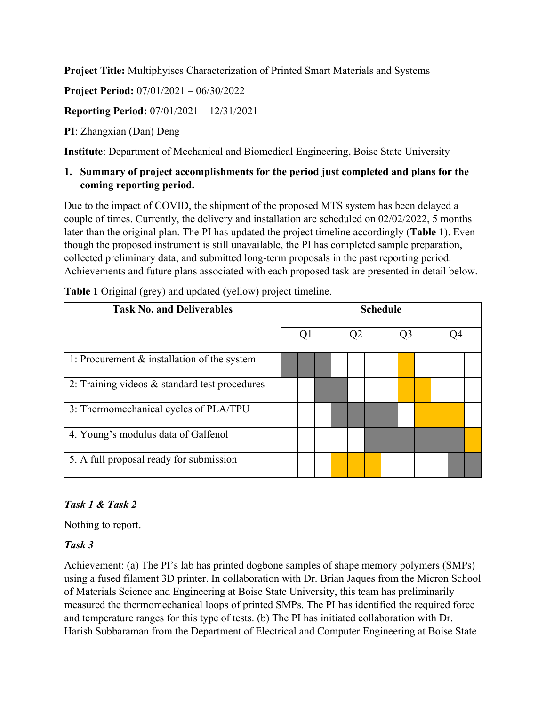**Project Title:** Multiphyiscs Characterization of Printed Smart Materials and Systems

**Project Period:** 07/01/2021 – 06/30/2022

**Reporting Period:** 07/01/2021 – 12/31/2021

**PI**: Zhangxian (Dan) Deng

**Institute**: Department of Mechanical and Biomedical Engineering, Boise State University

**1. Summary of project accomplishments for the period just completed and plans for the coming reporting period.**

Due to the impact of COVID, the shipment of the proposed MTS system has been delayed a couple of times. Currently, the delivery and installation are scheduled on 02/02/2022, 5 months later than the original plan. The PI has updated the project timeline accordingly (**Table 1**). Even though the proposed instrument is still unavailable, the PI has completed sample preparation, collected preliminary data, and submitted long-term proposals in the past reporting period. Achievements and future plans associated with each proposed task are presented in detail below.

| <b>Task No. and Deliverables</b>                |  |  | <b>Schedule</b> |  |                |  |    |  |  |  |    |  |  |
|-------------------------------------------------|--|--|-----------------|--|----------------|--|----|--|--|--|----|--|--|
|                                                 |  |  | Q1              |  | Q <sub>2</sub> |  | Q3 |  |  |  | 04 |  |  |
| 1: Procurement $\&$ installation of the system  |  |  |                 |  |                |  |    |  |  |  |    |  |  |
| 2: Training videos $&$ standard test procedures |  |  |                 |  |                |  |    |  |  |  |    |  |  |
| 3: Thermomechanical cycles of PLA/TPU           |  |  |                 |  |                |  |    |  |  |  |    |  |  |
| 4. Young's modulus data of Galfenol             |  |  |                 |  |                |  |    |  |  |  |    |  |  |
| 5. A full proposal ready for submission         |  |  |                 |  |                |  |    |  |  |  |    |  |  |

**Table 1** Original (grey) and updated (yellow) project timeline.

#### *Task 1 & Task 2*

Nothing to report.

#### *Task 3*

Achievement: (a) The PI's lab has printed dogbone samples of shape memory polymers (SMPs) using a fused filament 3D printer. In collaboration with Dr. Brian Jaques from the Micron School of Materials Science and Engineering at Boise State University, this team has preliminarily measured the thermomechanical loops of printed SMPs. The PI has identified the required force and temperature ranges for this type of tests. (b) The PI has initiated collaboration with Dr. Harish Subbaraman from the Department of Electrical and Computer Engineering at Boise State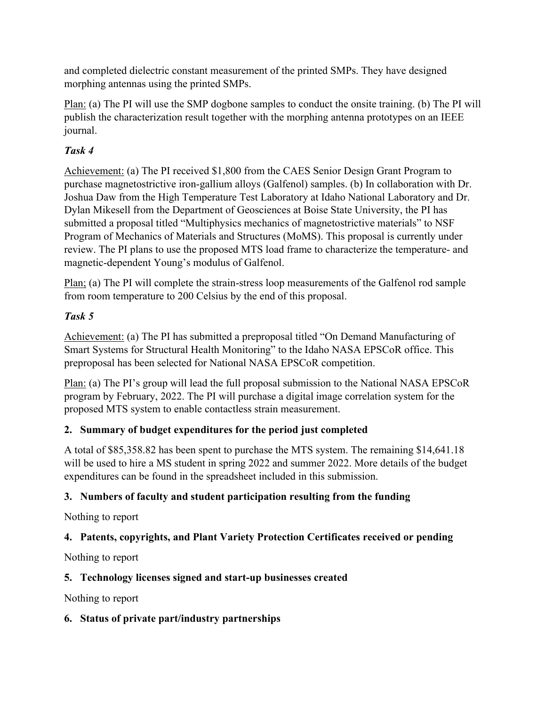and completed dielectric constant measurement of the printed SMPs. They have designed morphing antennas using the printed SMPs.

Plan: (a) The PI will use the SMP dogbone samples to conduct the onsite training. (b) The PI will publish the characterization result together with the morphing antenna prototypes on an IEEE journal.

## *Task 4*

Achievement: (a) The PI received \$1,800 from the CAES Senior Design Grant Program to purchase magnetostrictive iron-gallium alloys (Galfenol) samples. (b) In collaboration with Dr. Joshua Daw from the High Temperature Test Laboratory at Idaho National Laboratory and Dr. Dylan Mikesell from the Department of Geosciences at Boise State University, the PI has submitted a proposal titled "Multiphysics mechanics of magnetostrictive materials" to NSF Program of Mechanics of Materials and Structures (MoMS). This proposal is currently under review. The PI plans to use the proposed MTS load frame to characterize the temperature- and magnetic-dependent Young's modulus of Galfenol.

Plan; (a) The PI will complete the strain-stress loop measurements of the Galfenol rod sample from room temperature to 200 Celsius by the end of this proposal.

## *Task 5*

Achievement: (a) The PI has submitted a preproposal titled "On Demand Manufacturing of Smart Systems for Structural Health Monitoring" to the Idaho NASA EPSCoR office. This preproposal has been selected for National NASA EPSCoR competition.

Plan: (a) The PI's group will lead the full proposal submission to the National NASA EPSCoR program by February, 2022. The PI will purchase a digital image correlation system for the proposed MTS system to enable contactless strain measurement.

## **2. Summary of budget expenditures for the period just completed**

A total of \$85,358.82 has been spent to purchase the MTS system. The remaining \$14,641.18 will be used to hire a MS student in spring 2022 and summer 2022. More details of the budget expenditures can be found in the spreadsheet included in this submission.

## **3. Numbers of faculty and student participation resulting from the funding**

Nothing to report

## **4. Patents, copyrights, and Plant Variety Protection Certificates received or pending**

Nothing to report

## **5. Technology licenses signed and start-up businesses created**

Nothing to report

## **6. Status of private part/industry partnerships**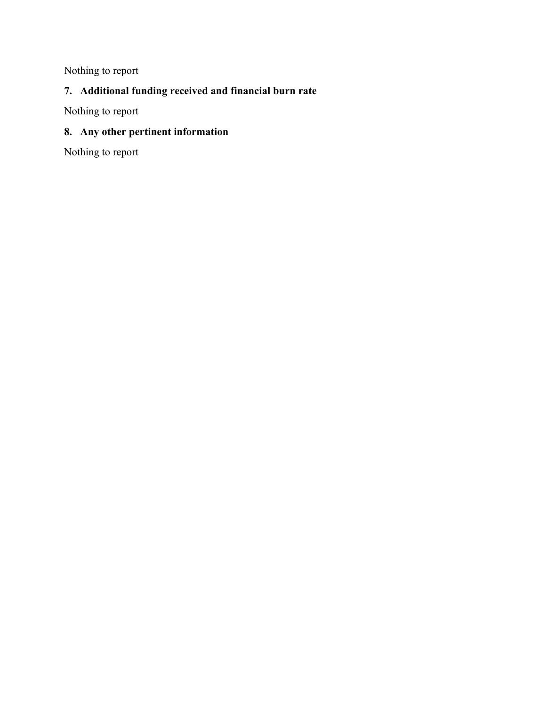Nothing to report

# **7. Additional funding received and financial burn rate**

Nothing to report

#### **8. Any other pertinent information**

Nothing to report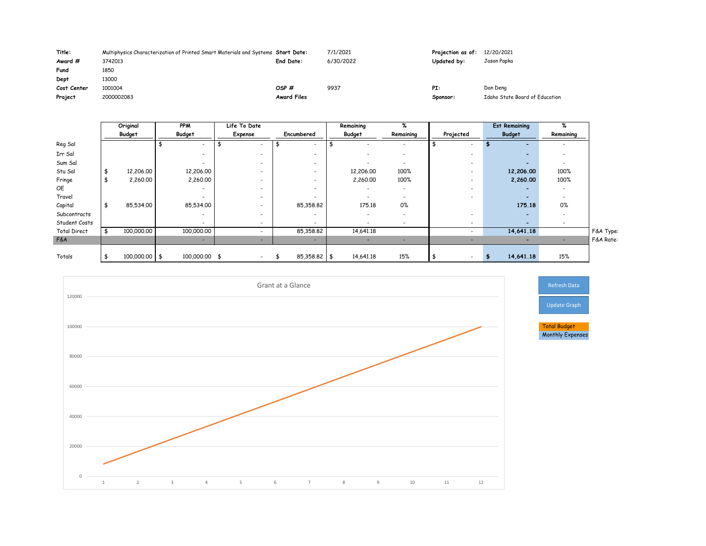| Title:      | Multiphysics Characterization of Printed Smart Materials and Systems Start Date: |                    | 7/1/2021  | Projection as of: 12 |   |
|-------------|----------------------------------------------------------------------------------|--------------------|-----------|----------------------|---|
| Award #     | 3742013                                                                          | <b>End Date:</b>   | 6/30/2022 | <b>Updated by:</b>   | J |
| Fund        | 1850                                                                             |                    |           |                      |   |
| Dept        | 13000                                                                            |                    |           |                      |   |
| Cost Center | 1001004                                                                          | OSP#               | 9937      | PI:                  | D |
| Project     | 2000002083                                                                       | <b>Award Files</b> |           | Sponsor:             | Ι |

## 12/20/2021 Jason Pap<mark>k</mark>a

|                     |               | Original        | <b>PPM</b>               | Life To Date                 |   |                          | Remaining                | %                        |                          |    | <b>Est Remaining</b>     | %                        |           |
|---------------------|---------------|-----------------|--------------------------|------------------------------|---|--------------------------|--------------------------|--------------------------|--------------------------|----|--------------------------|--------------------------|-----------|
|                     |               | <b>Budget</b>   | <b>Budget</b>            | Expense                      |   | Encumbered               | Budget                   | Remaining                | Projected                |    | <b>Budget</b>            | Remaining                |           |
| Reg Sal             |               |                 |                          | $\overline{\phantom{0}}$     |   | $\overline{\phantom{0}}$ |                          | $\overline{\phantom{0}}$ |                          |    |                          | $\overline{\phantom{0}}$ |           |
| Irr Sal             |               |                 |                          | $\overline{\phantom{a}}$     |   |                          |                          | $\hbox{ }$               |                          |    |                          | $\hbox{\small -}$        |           |
| Sum Sal             |               |                 |                          | $\overline{\phantom{a}}$     |   | $\overline{\phantom{a}}$ | $\overline{\phantom{a}}$ | $\overline{\phantom{0}}$ | $\overline{\phantom{0}}$ |    | $\overline{\phantom{0}}$ | $\overline{\phantom{a}}$ |           |
| Stu Sal             | $\frac{1}{2}$ | 12,206.00       | 12,206.00                | $\overline{\phantom{0}}$     |   | $\overline{\phantom{0}}$ | 12,206.00                | 100%                     |                          |    | 12,206.00                | 100%                     |           |
| Fringe              | \$            | 2,260.00        | 2,260.00                 | $\overline{\phantom{a}}$     |   | $\overline{\phantom{a}}$ | 2,260.00                 | 100%                     |                          |    | 2,260.00                 | 100%                     |           |
| OE                  |               |                 |                          | $\overline{\phantom{a}}$     |   | $\overline{\phantom{a}}$ | $\overline{\phantom{a}}$ | $\overline{\phantom{a}}$ | $\overline{\phantom{0}}$ |    | $\overline{\phantom{0}}$ | $\overline{\phantom{a}}$ |           |
| Travel              |               |                 |                          | $\overline{\phantom{a}}$     |   | $\overline{\phantom{a}}$ |                          | $\blacksquare$           |                          |    |                          | $\hbox{\small -}$        |           |
| Capital             | $\frac{1}{2}$ | 85,534.00       | 85,534.00                | $\overline{\phantom{a}}$     |   | 85,358.82                | 175.18                   | $0\%$                    |                          |    | 175.18                   | 0%                       |           |
| Subcontracts        |               |                 | $\overline{\phantom{0}}$ | $\qquad \qquad \blacksquare$ |   | $\overline{\phantom{a}}$ | $\overline{\phantom{a}}$ | $\overline{\phantom{0}}$ |                          |    | $\overline{\phantom{0}}$ | $\overline{\phantom{a}}$ |           |
| Student Costs       |               |                 |                          | $\overline{\phantom{a}}$     |   | $\overline{\phantom{0}}$ |                          | $\hbox{ }$               |                          |    |                          | $\overline{\phantom{a}}$ |           |
| <b>Total Direct</b> |               | 100,000.00      | 100,000.00               | $\qquad \qquad \blacksquare$ |   | 85,358.82                | 14,641.18                |                          |                          |    | 14,641.18                |                          | F&A Type: |
| F&A                 |               |                 | $\overline{\phantom{a}}$ | -                            |   | $\overline{\phantom{a}}$ | $\overline{\phantom{a}}$ | $\blacksquare$           |                          |    |                          | $\overline{\phantom{a}}$ | F&A Rate: |
|                     |               |                 |                          |                              |   |                          |                          |                          |                          |    |                          |                          |           |
| Totals              |               | $100,000.00$ \$ | 100,000.00 \$            | $\sim$ $-$                   | க | $85,358.82$ \$           | 14,641.18                | 15%                      | $\overline{\phantom{0}}$ | -9 | 14,641.18                | 15%                      |           |

Dan Deng Idaho State Board of Education